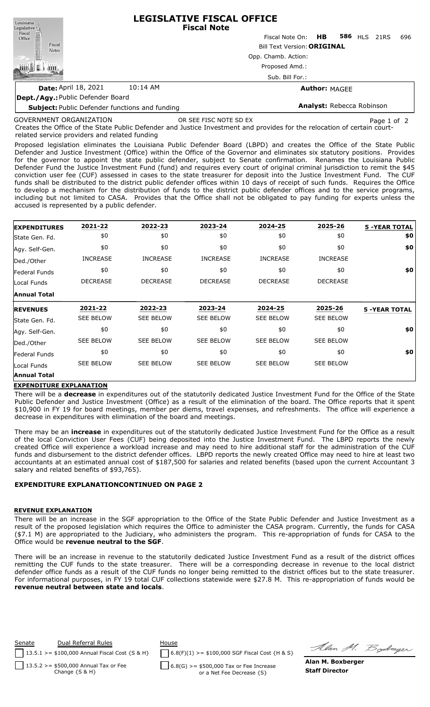| Louisiana<br>Legislative <sup>1</sup>                 | <b>LEGISLATIVE FISCAL OFFICE</b><br><b>Fiscal Note</b>                                         |                           |  |                     |  |     |  |  |  |
|-------------------------------------------------------|------------------------------------------------------------------------------------------------|---------------------------|--|---------------------|--|-----|--|--|--|
| Fiscal<br>Office                                      |                                                                                                | Fiscal Note On: <b>HB</b> |  | <b>586 HLS 21RS</b> |  | 696 |  |  |  |
| Fiscal<br><b>Notes</b>                                | <b>Bill Text Version: ORIGINAL</b><br>Opp. Chamb. Action:<br>Proposed Amd.:<br>Sub. Bill For.: |                           |  |                     |  |     |  |  |  |
|                                                       |                                                                                                |                           |  |                     |  |     |  |  |  |
|                                                       |                                                                                                |                           |  |                     |  |     |  |  |  |
|                                                       |                                                                                                |                           |  |                     |  |     |  |  |  |
| <b>Date: April 18, 2021</b>                           | 10:14 AM                                                                                       | <b>Author: MAGEE</b>      |  |                     |  |     |  |  |  |
| Dept./Agy: Public Defender Board                      |                                                                                                |                           |  |                     |  |     |  |  |  |
| <b>Subject: Public Defender functions and funding</b> |                                                                                                | Analyst: Rebecca Robinson |  |                     |  |     |  |  |  |

GOVERNMENT ORGANIZATION

OR SEE FISC NOTE SD EX Page 1 of 2

Creates the Office of the State Public Defender and Justice Investment and provides for the relocation of certain courtrelated service providers and related funding

Proposed legislation eliminates the Louisiana Public Defender Board (LBPD) and creates the Office of the State Public Defender and Justice Investment (Office) within the Office of the Governor and eliminates six statutory positions. Provides for the governor to appoint the state public defender, subject to Senate confirmation. Renames the Louisiana Public Defender Fund the Justice Investment Fund (fund) and requires every court of original criminal jurisdiction to remit the \$45 conviction user fee (CUF) assessed in cases to the state treasurer for deposit into the Justice Investment Fund. The CUF funds shall be distributed to the district public defender offices within 10 days of receipt of such funds. Requires the Office to develop a mechanism for the distribution of funds to the district public defender offices and to the service programs, including but not limited to CASA. Provides that the Office shall not be obligated to pay funding for experts unless the accused is represented by a public defender.

| <b>EXPENDITURES</b> | 2021-22          | 2022-23          | 2023-24          | 2024-25          | 2025-26          | <b>5 -YEAR TOTAL</b> |
|---------------------|------------------|------------------|------------------|------------------|------------------|----------------------|
| State Gen. Fd.      | \$0              | \$0              | \$0              | \$0              | \$0              | \$0                  |
| Agy. Self-Gen.      | \$0              | \$0              | \$0              | \$0              | \$0              | \$0                  |
| Ded./Other          | <b>INCREASE</b>  | <b>INCREASE</b>  | <b>INCREASE</b>  | <b>INCREASE</b>  | <b>INCREASE</b>  |                      |
| Federal Funds       | \$0              | \$0              | \$0              | \$0              | \$0              | \$0                  |
| Local Funds         | <b>DECREASE</b>  | <b>DECREASE</b>  | <b>DECREASE</b>  | <b>DECREASE</b>  | <b>DECREASE</b>  |                      |
| <b>Annual Total</b> |                  |                  |                  |                  |                  |                      |
| <b>REVENUES</b>     | 2021-22          | 2022-23          | 2023-24          | 2024-25          | 2025-26          | <b>5 -YEAR TOTAL</b> |
| State Gen. Fd.      | <b>SEE BELOW</b> | <b>SEE BELOW</b> | <b>SEE BELOW</b> | <b>SEE BELOW</b> | <b>SEE BELOW</b> |                      |
| Agy. Self-Gen.      | \$0              | \$0              | \$0              | \$0              | \$0              | \$0                  |
| Ded./Other          | <b>SEE BELOW</b> | <b>SEE BELOW</b> | <b>SEE BELOW</b> | <b>SEE BELOW</b> | <b>SEE BELOW</b> |                      |
| lFederal Funds      | \$0              | \$0              | \$0              | \$0              | \$0              | \$0                  |
| Local Funds         | <b>SEE BELOW</b> | <b>SEE BELOW</b> | <b>SEE BELOW</b> | <b>SEE BELOW</b> | <b>SEE BELOW</b> |                      |
| <b>Annual Total</b> |                  |                  |                  |                  |                  |                      |

## **EXPENDITURE EXPLANATION**

There will be a **decrease** in expenditures out of the statutorily dedicated Justice Investment Fund for the Office of the State Public Defender and Justice Investment (Office) as a result of the elimination of the board. The Office reports that it spent \$10,900 in FY 19 for board meetings, member per diems, travel expenses, and refreshments. The office will experience a decrease in expenditures with elimination of the board and meetings.

There may be an **increase** in expenditures out of the statutorily dedicated Justice Investment Fund for the Office as a result of the local Conviction User Fees (CUF) being deposited into the Justice Investment Fund. The LBPD reports the newly created Office will experience a workload increase and may need to hire additional staff for the administration of the CUF funds and disbursement to the district defender offices. LBPD reports the newly created Office may need to hire at least two accountants at an estimated annual cost of \$187,500 for salaries and related benefits (based upon the current Accountant 3 salary and related benefits of \$93,765).

## **EXPENDITURE EXPLANATIONCONTINUED ON PAGE 2**

#### **REVENUE EXPLANATION**

There will be an increase in the SGF appropriation to the Office of the State Public Defender and Justice Investment as a result of the proposed legislation which requires the Office to administer the CASA program. Currently, the funds for CASA (\$7.1 M) are appropriated to the Judiciary, who administers the program. This re-appropriation of funds for CASA to the Office would be **revenue neutral to the SGF**.

There will be an increase in revenue to the statutorily dedicated Justice Investment Fund as a result of the district offices remitting the CUF funds to the state treasurer. There will be a corresponding decrease in revenue to the local district defender office funds as a result of the CUF funds no longer being remitted to the district offices but to the state treasurer. For informational purposes, in FY 19 total CUF collections statewide were \$27.8 M. This re-appropriation of funds would be **revenue neutral between state and locals**.